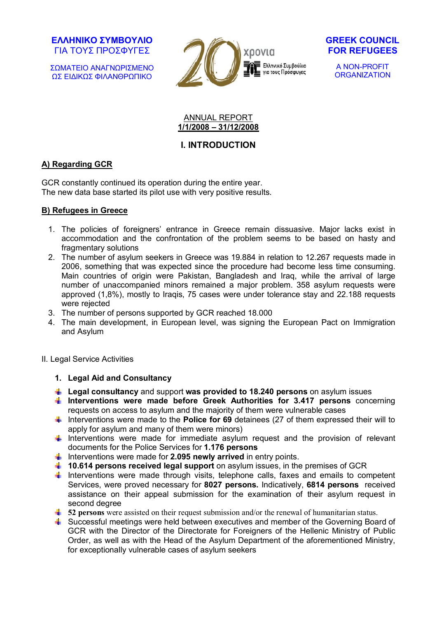ΣΩΜΑΤΕΙΟ ΑΝΑΓΝΩΡΙΣΜΕΝΟ ΩΣ ΕΙΔΙΚΩΣ ΦΙΛΑΝΘΡΩΠΙΚΟ





A NON-PROFIT **ORGANIZATION** 

#### ANNUAL REPORT **1/1/2008 – 31/12/2008**

# **Ι. INTRODUCTION**

## **Α) Regarding GCR**

GCR constantly continued its operation during the entire year. The new data base started its pilot use with very positive results.

## **Β) Refugees in Greece**

- 1. The policies of foreigners' entrance in Greece remain dissuasive. Major lacks exist in accommodation and the confrontation of the problem seems to be based on hasty and fragmentary solutions
- 2. The number of asylum seekers in Greece was 19.884 in relation to 12.267 requests made in 2006, something that was expected since the procedure had become less time consuming. Main countries of origin were Pakistan, Bangladesh and Iraq, while the arrival of large number of unaccompanied minors remained a major problem. 358 asylum requests were approved (1,8%), mostly to Iraqis, 75 cases were under tolerance stay and 22.188 requests were rejected
- 3. The number of persons supported by GCR reached 18.000
- 4. The main development, in European level, was signing the European Pact on Immigration and Asylum

## ΙΙ. Legal Service Activities

## **1. Legal Aid and Consultancy**

- **Legal consultancy** and support **was provided to 18.240 persons** on asylum issues
- **Interventions were made before Greek Authorities for 3.417 persons** concerning requests on access to asylum and the majority of them were vulnerable cases
- Interventions were made to the **Police for 69** detainees (27 of them expressed their will to apply for asylum and many of them were minors)
- $\frac{1}{\sqrt{1}}$  Interventions were made for immediate asylum request and the provision of relevant documents for the Police Services for **1.176 persons**
- Interventions were made for **2.095 newly arrived** in entry points.
- **10.614 persons received legal support** on asylum issues, in the premises of GCR
- Interventions were made through visits, telephone calls, faxes and emails to competent Services, were proved necessary for **8027 persons.** Indicatively, **6814 persons** received assistance on their appeal submission for the examination of their asylum request in second degree
- **1** 52 persons were assisted on their request submission and/or the renewal of humanitarian status.
- Successful meetings were held between executives and member of the Governing Board of GCR with the Director of the Directorate for Foreigners of the Hellenic Ministry of Public Order, as well as with the Head of the Asylum Department of the aforementioned Ministry, for exceptionally vulnerable cases of asylum seekers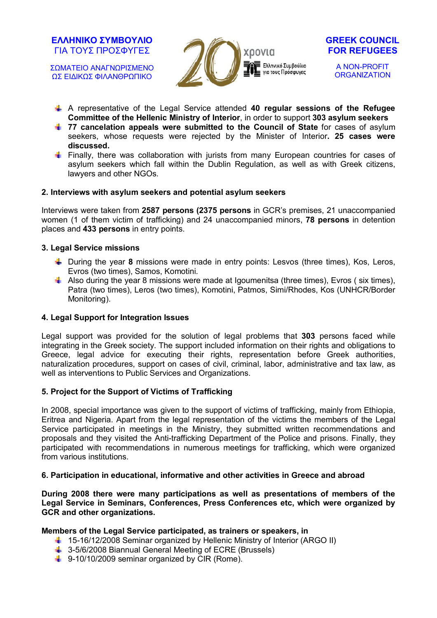ΣΩΜΑΤΕΙΟ ΑΝΑΓΝΩΡΙΣΜΕΝΟ ΩΣ ΕΙΔΙΚΩΣ ΦΙΛΑΝΘΡΩΠΙΚΟ





A NON-PROFIT **ORGANIZATION** 

- A representative of the Legal Service attended **40 regular sessions of the Refugee Committee of the Hellenic Ministry of Interior**, in order to support **303 asylum seekers**
- **1** 77 cancelation appeals were submitted to the Council of State for cases of asylum seekers, whose requests were rejected by the Minister of Interior**. 25 cases were discussed.**
- Finally, there was collaboration with jurists from many European countries for cases of asylum seekers which fall within the Dublin Regulation, as well as with Greek citizens, lawyers and other NGOs.

## **2. Interviews with asylum seekers and potential asylum seekers**

Interviews were taken from **2587 persons (2375 persons** in GCR's premises, 21 unaccompanied women (1 of them victim of trafficking) and 24 unaccompanied minors, **78 persons** in detention places and **433 persons** in entry points.

#### **3. Legal Service missions**

- **U During the year 8 missions were made in entry points: Lesvos (three times), Kos, Leros,** Evros (two times), Samos, Komotini.
- Also during the year 8 missions were made at Igoumenitsa (three times), Evros (six times), Patra (two times), Leros (two times), Komotini, Patmos, Simi/Rhodes, Kos (UNHCR/Border Monitoring).

## **4. Legal Support for Integration Issues**

Legal support was provided for the solution of legal problems that **303** persons faced while integrating in the Greek society. The support included information on their rights and obligations to Greece, legal advice for executing their rights, representation before Greek authorities, naturalization procedures, support on cases of civil, criminal, labor, administrative and tax law, as well as interventions to Public Services and Organizations.

## **5. Project for the Support of Victims of Trafficking**

In 2008, special importance was given to the support of victims of trafficking, mainly from Ethiopia, Eritrea and Nigeria. Apart from the legal representation of the victims the members of the Legal Service participated in meetings in the Ministry, they submitted written recommendations and proposals and they visited the Anti-trafficking Department of the Police and prisons. Finally, they participated with recommendations in numerous meetings for trafficking, which were organized from various institutions.

## **6. Participation in educational, informative and other activities in Greece and abroad**

**During 2008 there were many participations as well as presentations of members of the Legal Service in Seminars, Conferences, Press Conferences etc, which were organized by GCR and other organizations.** 

## **Members of the Legal Service participated, as trainers or speakers, in**

- 15-16/12/2008 Seminar organized by Hellenic Ministry of Interior (ARGO II)
- $\frac{1}{2}$  3-5/6/2008 Biannual General Meeting of ECRE (Brussels)
- 9-10/10/2009 seminar organized by CIR (Rome).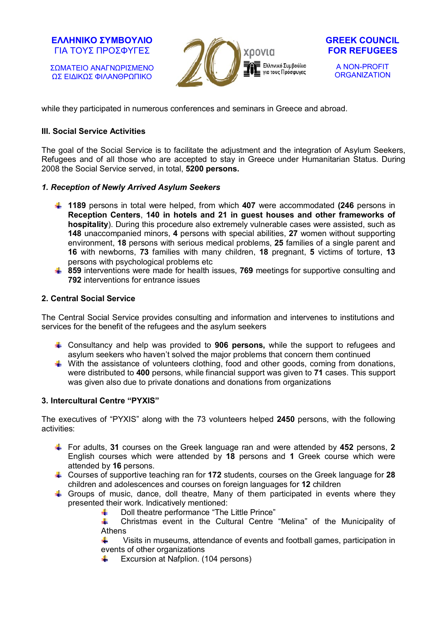ΣΩΜΑΤΕΙΟ ΑΝΑΓΝΩΡΙΣΜΕΝΟ ΩΣ ΕΙΔΙΚΩΣ ΦΙΛΑΝΘΡΩΠΙΚΟ





A NON-PROFIT **ORGANIZATION** 

while they participated in numerous conferences and seminars in Greece and abroad.

## **III. Social Service Activities**

The goal of the Social Service is to facilitate the adjustment and the integration of Asylum Seekers, Refugees and of all those who are accepted to stay in Greece under Humanitarian Status. During 2008 the Social Service served, in total, **5200 persons.**

## *1. Reception of Newly Arrived Asylum Seekers*

- **1189** persons in total were helped, from which **407** were accommodated **(246** persons in **Reception Centers**, **140 in hotels and 21 in guest houses and other frameworks of hospitality**). During this procedure also extremely vulnerable cases were assisted, such as **148** unaccompanied minors, **4** persons with special abilities, **27** women without supporting environment, **18** persons with serious medical problems, **25** families of a single parent and **16** with newborns, **73** families with many children, **18** pregnant, **5** victims of torture, **13** persons with psychological problems etc
- **859** interventions were made for health issues, **769** meetings for supportive consulting and **792** interventions for entrance issues

## **2. Central Social Service**

The Central Social Service provides consulting and information and intervenes to institutions and services for the benefit of the refugees and the asylum seekers

- Consultancy and help was provided to **906 persons,** while the support to refugees and asylum seekers who haven't solved the major problems that concern them continued
- $\ddot{\phantom{1}}$  With the assistance of volunteers clothing, food and other goods, coming from donations, were distributed to **400** persons, while financial support was given to **71** cases. This support was given also due to private donations and donations from organizations

## **3. Intercultural Centre "PYXIS"**

The executives of "PYXIS" along with the 73 volunteers helped **2450** persons, with the following activities:

- For adults, **31** courses on the Greek language ran and were attended by **452** persons, **2** English courses which were attended by **18** persons and **1** Greek course which were attended by **16** persons.
- Courses of supportive teaching ran for **172** students, courses on the Greek language for **28** children and adolescences and courses on foreign languages for **12** children
- $\pm$  Groups of music, dance, doll theatre, Many of them participated in events where they presented their work. Indicatively mentioned:
	- Doll theatre performance "The Little Prince" A.

alan d Christmas event in the Cultural Centre "Melina" of the Municipality of Athens

Visits in museums, attendance of events and football games, participation in ÷. events of other organizations

Excursion at Nafplion. (104 persons)alla s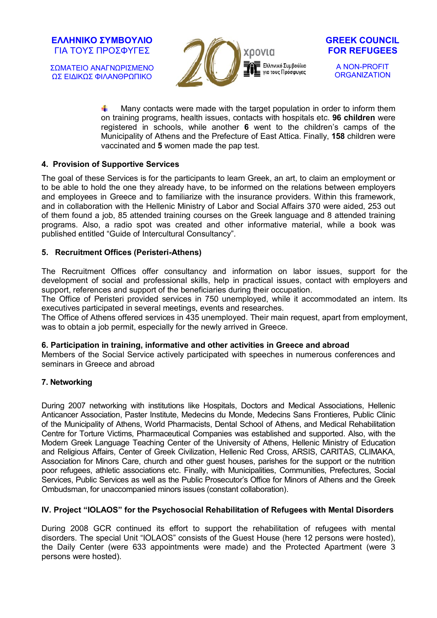ΣΩΜΑΤΕΙΟ ΑΝΑΓΝΩΡΙΣΜΕΝΟ ΩΣ ΕΙΔΙΚΩΣ ΦΙΛΑΝΘΡΩΠΙΚΟ





A NON-PROFIT **ORGANIZATION** 

d. Many contacts were made with the target population in order to inform them on training programs, health issues, contacts with hospitals etc. **96 children** were registered in schools, while another **6** went to the children's camps of the Municipality of Athens and the Prefecture of East Attica. Finally, **158** children were vaccinated and **5** women made the pap test.

#### **4. Provision of Supportive Services**

The goal of these Services is for the participants to learn Greek, an art, to claim an employment or to be able to hold the one they already have, to be informed on the relations between employers and employees in Greece and to familiarize with the insurance providers. Within this framework, and in collaboration with the Hellenic Ministry of Labor and Social Affairs 370 were aided, 253 out of them found a job, 85 attended training courses on the Greek language and 8 attended training programs. Also, a radio spot was created and other informative material, while a book was published entitled "Guide of Intercultural Consultancy".

#### **5. Recruitment Offices (Peristeri-Athens)**

The Recruitment Offices offer consultancy and information on labor issues, support for the development of social and professional skills, help in practical issues, contact with employers and support, references and support of the beneficiaries during their occupation.

The Office of Peristeri provided services in 750 unemployed, while it accommodated an intern. Its executives participated in several meetings, events and researches.

The Office of Athens offered services in 435 unemployed. Their main request, apart from employment, was to obtain a job permit, especially for the newly arrived in Greece.

#### **6. Participation in training, informative and other activities in Greece and abroad**

Members of the Social Service actively participated with speeches in numerous conferences and seminars in Greece and abroad

## **7. Networking**

During 2007 networking with institutions like Hospitals, Doctors and Medical Associations, Hellenic Anticancer Association, Paster Institute, Medecins du Monde, Medecins Sans Frontieres, Public Clinic of the Municipality of Athens, World Pharmacists, Dental School of Athens, and Medical Rehabilitation Centre for Torture Victims, Pharmaceutical Companies was established and supported. Also, with the Modern Greek Language Teaching Center of the University of Athens, Hellenic Ministry of Education and Religious Affairs, Center of Greek Civilization, Hellenic Red Cross, ARSIS, CARITAS, CLIMAKA, Association for Minors Care, church and other guest houses, parishes for the support or the nutrition poor refugees, athletic associations etc. Finally, with Municipalities, Communities, Prefectures, Social Services, Public Services as well as the Public Prosecutor's Office for Minors of Athens and the Greek Ombudsman, for unaccompanied minors issues (constant collaboration).

## **IV. Project "IOLAOS" for the Psychosocial Rehabilitation of Refugees with Mental Disorders**

During 2008 GCR continued its effort to support the rehabilitation of refugees with mental disorders. The special Unit "IOLAOS" consists of the Guest House (here 12 persons were hosted), the Daily Center (were 633 appointments were made) and the Protected Apartment (were 3 persons were hosted).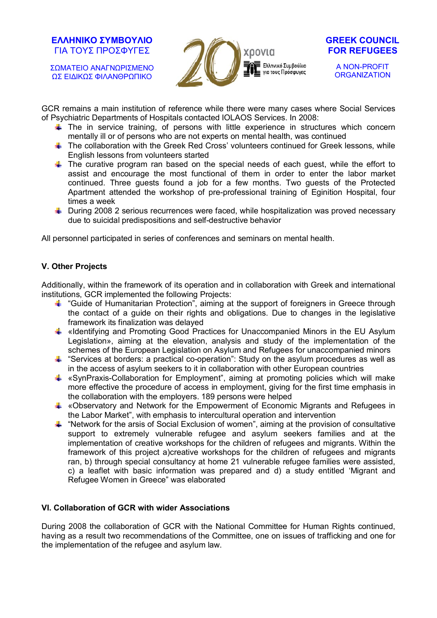ΣΩΜΑΤΕΙΟ ΑΝΑΓΝΩΡΙΣΜΕΝΟ ΩΣ ΕΙΔΙΚΩΣ ΦΙΛΑΝΘΡΩΠΙΚΟ



#### **GREEK COUNCIL FOR REFUGEES**

A NON-PROFIT **ORGANIZATION** 

GCR remains a main institution of reference while there were many cases where Social Services of Psychiatric Departments of Hospitals contacted IOLAOS Services. In 2008:

- $\frac{1}{2}$  The in service training, of persons with little experience in structures which concern mentally ill or of persons who are not experts on mental health, was continued
- $\textcolor{red}{\textbf{I}}$  The collaboration with the Greek Red Cross' volunteers continued for Greek lessons, while English lessons from volunteers started
- $\pm$  The curative program ran based on the special needs of each quest, while the effort to assist and encourage the most functional of them in order to enter the labor market continued. Three guests found a job for a few months. Two guests of the Protected Apartment attended the workshop of pre-professional training of Eginition Hospital, four times a week
- $\uparrow$  During 2008 2 serious recurrences were faced, while hospitalization was proved necessary due to suicidal predispositions and self-destructive behavior

All personnel participated in series of conferences and seminars on mental health.

## **V. Other Projects**

Additionally, within the framework of its operation and in collaboration with Greek and international institutions, GCR implemented the following Projects:

- **T** "Guide of Humanitarian Protection", aiming at the support of foreigners in Greece through the contact of a guide on their rights and obligations. Due to changes in the legislative framework its finalization was delayed
- $\ddot{\bullet}$  «Identifying and Promoting Good Practices for Unaccompanied Minors in the EU Asylum Legislation», aiming at the elevation, analysis and study of the implementation of the schemes of the European Legislation on Asylum and Refugees for unaccompanied minors
- $\frac{1}{2}$  "Services at borders: a practical co-operation": Study on the asylum procedures as well as in the access of asylum seekers to it in collaboration with other European countries
- $\triangleq$  «SynPraxis-Collaboration for Employment", aiming at promoting policies which will make more effective the procedure of access in employment, giving for the first time emphasis in the collaboration with the employers. 189 persons were helped
- $\text{L}$  «Observatory and Network for the Empowerment of Economic Migrants and Refugees in the Labor Market", with emphasis to intercultural operation and intervention
- $\triangleq$  "Network for the arsis of Social Exclusion of women", aiming at the provision of consultative support to extremely vulnerable refugee and asylum seekers families and at the implementation of creative workshops for the children of refugees and migrants. Within the framework of this project a)creative workshops for the children of refugees and migrants ran, b) through special consultancy at home 21 vulnerable refugee families were assisted, c) a leaflet with basic information was prepared and d) a study entitled 'Migrant and Refugee Women in Greece" was elaborated

## **VI. Collaboration of GCR with wider Associations**

During 2008 the collaboration of GCR with the National Committee for Human Rights continued, having as a result two recommendations of the Committee, one on issues of trafficking and one for the implementation of the refugee and asylum law.